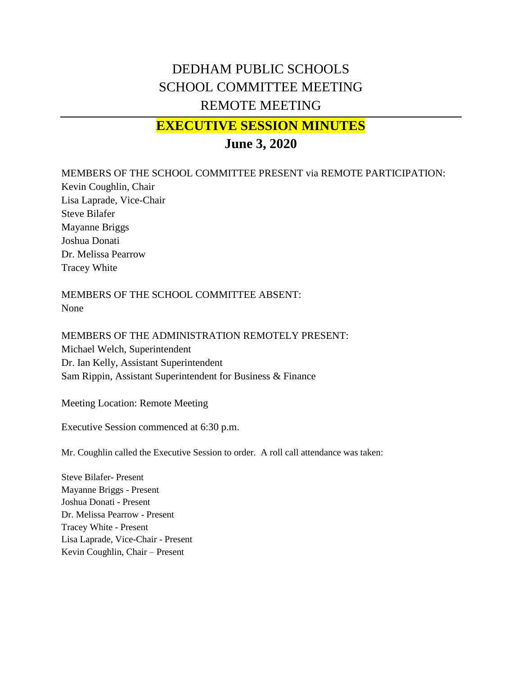## DEDHAM PUBLIC SCHOOLS SCHOOL COMMITTEE MEETING REMOTE MEETING

## **EXECUTIVE SESSION MINUTES**

## **June 3, 2020**

MEMBERS OF THE SCHOOL COMMITTEE PRESENT via REMOTE PARTICIPATION:

Kevin Coughlin, Chair Lisa Laprade, Vice-Chair Steve Bilafer Mayanne Briggs Joshua Donati Dr. Melissa Pearrow Tracey White

MEMBERS OF THE SCHOOL COMMITTEE ABSENT: None

MEMBERS OF THE ADMINISTRATION REMOTELY PRESENT: Michael Welch, Superintendent Dr. Ian Kelly, Assistant Superintendent Sam Rippin, Assistant Superintendent for Business & Finance

Meeting Location: Remote Meeting

Executive Session commenced at 6:30 p.m.

Mr. Coughlin called the Executive Session to order. A roll call attendance was taken:

Steve Bilafer- Present Mayanne Briggs - Present Joshua Donati - Present Dr. Melissa Pearrow - Present Tracey White - Present Lisa Laprade, Vice-Chair - Present Kevin Coughlin, Chair – Present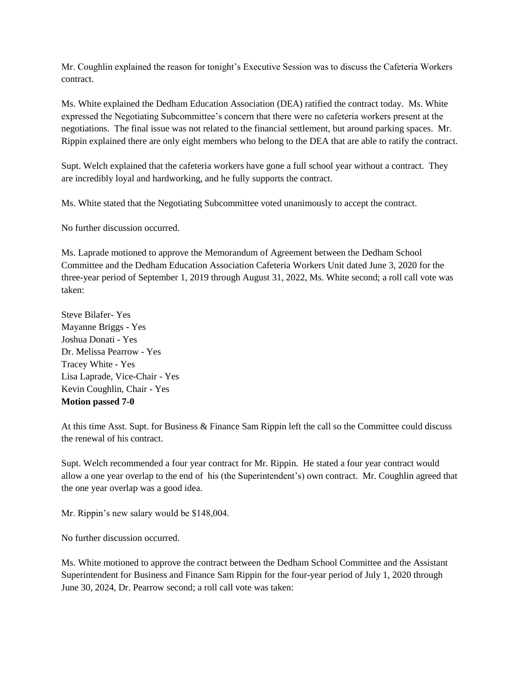Mr. Coughlin explained the reason for tonight's Executive Session was to discuss the Cafeteria Workers contract.

Ms. White explained the Dedham Education Association (DEA) ratified the contract today. Ms. White expressed the Negotiating Subcommittee's concern that there were no cafeteria workers present at the negotiations. The final issue was not related to the financial settlement, but around parking spaces. Mr. Rippin explained there are only eight members who belong to the DEA that are able to ratify the contract.

Supt. Welch explained that the cafeteria workers have gone a full school year without a contract. They are incredibly loyal and hardworking, and he fully supports the contract.

Ms. White stated that the Negotiating Subcommittee voted unanimously to accept the contract.

No further discussion occurred.

Ms. Laprade motioned to approve the Memorandum of Agreement between the Dedham School Committee and the Dedham Education Association Cafeteria Workers Unit dated June 3, 2020 for the three-year period of September 1, 2019 through August 31, 2022, Ms. White second; a roll call vote was taken:

Steve Bilafer- Yes Mayanne Briggs - Yes Joshua Donati - Yes Dr. Melissa Pearrow - Yes Tracey White - Yes Lisa Laprade, Vice-Chair - Yes Kevin Coughlin, Chair - Yes **Motion passed 7-0**

At this time Asst. Supt. for Business & Finance Sam Rippin left the call so the Committee could discuss the renewal of his contract.

Supt. Welch recommended a four year contract for Mr. Rippin. He stated a four year contract would allow a one year overlap to the end of his (the Superintendent's) own contract. Mr. Coughlin agreed that the one year overlap was a good idea.

Mr. Rippin's new salary would be \$148,004.

No further discussion occurred.

Ms. White motioned to approve the contract between the Dedham School Committee and the Assistant Superintendent for Business and Finance Sam Rippin for the four-year period of July 1, 2020 through June 30, 2024, Dr. Pearrow second; a roll call vote was taken: